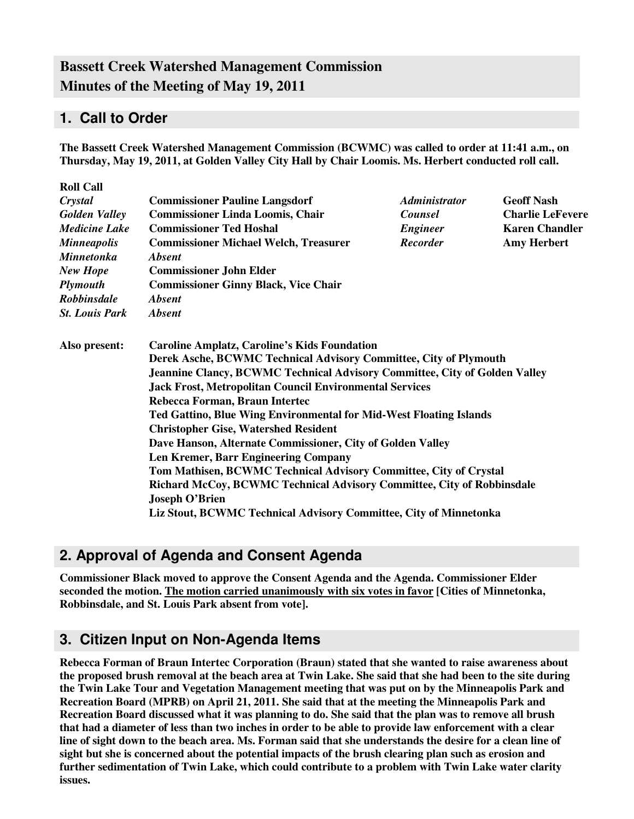# **Bassett Creek Watershed Management Commission Minutes of the Meeting of May 19, 2011**

## **1. Call to Order**

**The Bassett Creek Watershed Management Commission (BCWMC) was called to order at 11:41 a.m., on Thursday, May 19, 2011, at Golden Valley City Hall by Chair Loomis. Ms. Herbert conducted roll call.** 

| <b>Roll Call</b>                                                                                                                                                                                                                                                                         |                                                                                                                                                                                                                                                                                 |                                                                   |                                                  |  |  |                                                                   |  |  |  |  |
|------------------------------------------------------------------------------------------------------------------------------------------------------------------------------------------------------------------------------------------------------------------------------------------|---------------------------------------------------------------------------------------------------------------------------------------------------------------------------------------------------------------------------------------------------------------------------------|-------------------------------------------------------------------|--------------------------------------------------|--|--|-------------------------------------------------------------------|--|--|--|--|
| Crystal                                                                                                                                                                                                                                                                                  | <b>Commissioner Pauline Langsdorf</b>                                                                                                                                                                                                                                           | <i><b>Administrator</b></i>                                       | <b>Geoff Nash</b>                                |  |  |                                                                   |  |  |  |  |
| <b>Golden Valley</b><br><b>Medicine Lake</b><br><b>Minneapolis</b>                                                                                                                                                                                                                       | <b>Commissioner Linda Loomis, Chair</b>                                                                                                                                                                                                                                         | Counsel<br><b>Engineer</b>                                        | <b>Charlie LeFevere</b><br><b>Karen Chandler</b> |  |  |                                                                   |  |  |  |  |
|                                                                                                                                                                                                                                                                                          | <b>Commissioner Ted Hoshal</b>                                                                                                                                                                                                                                                  |                                                                   |                                                  |  |  |                                                                   |  |  |  |  |
|                                                                                                                                                                                                                                                                                          | <b>Commissioner Michael Welch, Treasurer</b>                                                                                                                                                                                                                                    | <b>Recorder</b>                                                   | <b>Amy Herbert</b>                               |  |  |                                                                   |  |  |  |  |
| <b>Minnetonka</b>                                                                                                                                                                                                                                                                        |                                                                                                                                                                                                                                                                                 |                                                                   |                                                  |  |  |                                                                   |  |  |  |  |
| <b>New Hope</b>                                                                                                                                                                                                                                                                          | <b>Commissioner John Elder</b><br><b>Commissioner Ginny Black, Vice Chair</b>                                                                                                                                                                                                   |                                                                   |                                                  |  |  |                                                                   |  |  |  |  |
| <b>Plymouth</b>                                                                                                                                                                                                                                                                          |                                                                                                                                                                                                                                                                                 |                                                                   |                                                  |  |  |                                                                   |  |  |  |  |
| Robbinsdale<br><i><b>Absent</b></i>                                                                                                                                                                                                                                                      |                                                                                                                                                                                                                                                                                 |                                                                   |                                                  |  |  |                                                                   |  |  |  |  |
| <b>St. Louis Park</b>                                                                                                                                                                                                                                                                    | <b>Absent</b>                                                                                                                                                                                                                                                                   |                                                                   |                                                  |  |  |                                                                   |  |  |  |  |
| Also present:<br>Rebecca Forman, Braun Intertec<br><b>Ted Gattino, Blue Wing Environmental for Mid-West Floating Islands</b><br><b>Christopher Gise, Watershed Resident</b><br>Dave Hanson, Alternate Commissioner, City of Golden Valley<br><b>Len Kremer, Barr Engineering Company</b> | <b>Caroline Amplatz, Caroline's Kids Foundation</b><br>Derek Asche, BCWMC Technical Advisory Committee, City of Plymouth<br><b>Jeannine Clancy, BCWMC Technical Advisory Committee, City of Golden Valley</b><br><b>Jack Frost, Metropolitan Council Environmental Services</b> |                                                                   |                                                  |  |  |                                                                   |  |  |  |  |
|                                                                                                                                                                                                                                                                                          |                                                                                                                                                                                                                                                                                 |                                                                   |                                                  |  |  |                                                                   |  |  |  |  |
|                                                                                                                                                                                                                                                                                          |                                                                                                                                                                                                                                                                                 |                                                                   |                                                  |  |  |                                                                   |  |  |  |  |
|                                                                                                                                                                                                                                                                                          |                                                                                                                                                                                                                                                                                 |                                                                   |                                                  |  |  |                                                                   |  |  |  |  |
|                                                                                                                                                                                                                                                                                          |                                                                                                                                                                                                                                                                                 |                                                                   |                                                  |  |  | Tom Mathisen, BCWMC Technical Advisory Committee, City of Crystal |  |  |  |  |
|                                                                                                                                                                                                                                                                                          | <b>Richard McCoy, BCWMC Technical Advisory Committee, City of Robbinsdale</b>                                                                                                                                                                                                   |                                                                   |                                                  |  |  |                                                                   |  |  |  |  |
|                                                                                                                                                                                                                                                                                          |                                                                                                                                                                                                                                                                                 | <b>Joseph O'Brien</b>                                             |                                                  |  |  |                                                                   |  |  |  |  |
|                                                                                                                                                                                                                                                                                          |                                                                                                                                                                                                                                                                                 | Liz Stout, BCWMC Technical Advisory Committee, City of Minnetonka |                                                  |  |  |                                                                   |  |  |  |  |

## **2. Approval of Agenda and Consent Agenda**

**Commissioner Black moved to approve the Consent Agenda and the Agenda. Commissioner Elder seconded the motion. The motion carried unanimously with six votes in favor [Cities of Minnetonka, Robbinsdale, and St. Louis Park absent from vote].** 

### **3. Citizen Input on Non-Agenda Items**

**Rebecca Forman of Braun Intertec Corporation (Braun) stated that she wanted to raise awareness about the proposed brush removal at the beach area at Twin Lake. She said that she had been to the site during the Twin Lake Tour and Vegetation Management meeting that was put on by the Minneapolis Park and Recreation Board (MPRB) on April 21, 2011. She said that at the meeting the Minneapolis Park and Recreation Board discussed what it was planning to do. She said that the plan was to remove all brush that had a diameter of less than two inches in order to be able to provide law enforcement with a clear line of sight down to the beach area. Ms. Forman said that she understands the desire for a clean line of sight but she is concerned about the potential impacts of the brush clearing plan such as erosion and further sedimentation of Twin Lake, which could contribute to a problem with Twin Lake water clarity issues.**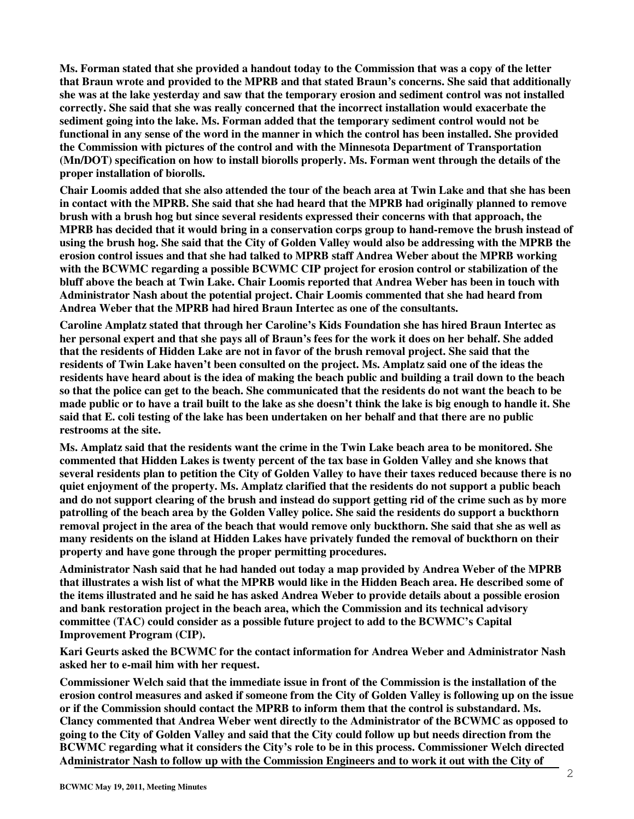**Ms. Forman stated that she provided a handout today to the Commission that was a copy of the letter that Braun wrote and provided to the MPRB and that stated Braun's concerns. She said that additionally she was at the lake yesterday and saw that the temporary erosion and sediment control was not installed correctly. She said that she was really concerned that the incorrect installation would exacerbate the sediment going into the lake. Ms. Forman added that the temporary sediment control would not be functional in any sense of the word in the manner in which the control has been installed. She provided the Commission with pictures of the control and with the Minnesota Department of Transportation (Mn/DOT) specification on how to install biorolls properly. Ms. Forman went through the details of the proper installation of biorolls.** 

**Chair Loomis added that she also attended the tour of the beach area at Twin Lake and that she has been in contact with the MPRB. She said that she had heard that the MPRB had originally planned to remove brush with a brush hog but since several residents expressed their concerns with that approach, the MPRB has decided that it would bring in a conservation corps group to hand-remove the brush instead of using the brush hog. She said that the City of Golden Valley would also be addressing with the MPRB the erosion control issues and that she had talked to MPRB staff Andrea Weber about the MPRB working with the BCWMC regarding a possible BCWMC CIP project for erosion control or stabilization of the bluff above the beach at Twin Lake. Chair Loomis reported that Andrea Weber has been in touch with Administrator Nash about the potential project. Chair Loomis commented that she had heard from Andrea Weber that the MPRB had hired Braun Intertec as one of the consultants.** 

**Caroline Amplatz stated that through her Caroline's Kids Foundation she has hired Braun Intertec as her personal expert and that she pays all of Braun's fees for the work it does on her behalf. She added that the residents of Hidden Lake are not in favor of the brush removal project. She said that the residents of Twin Lake haven't been consulted on the project. Ms. Amplatz said one of the ideas the residents have heard about is the idea of making the beach public and building a trail down to the beach so that the police can get to the beach. She communicated that the residents do not want the beach to be made public or to have a trail built to the lake as she doesn't think the lake is big enough to handle it. She said that E. coli testing of the lake has been undertaken on her behalf and that there are no public restrooms at the site.** 

**Ms. Amplatz said that the residents want the crime in the Twin Lake beach area to be monitored. She commented that Hidden Lakes is twenty percent of the tax base in Golden Valley and she knows that several residents plan to petition the City of Golden Valley to have their taxes reduced because there is no quiet enjoyment of the property. Ms. Amplatz clarified that the residents do not support a public beach and do not support clearing of the brush and instead do support getting rid of the crime such as by more patrolling of the beach area by the Golden Valley police. She said the residents do support a buckthorn removal project in the area of the beach that would remove only buckthorn. She said that she as well as many residents on the island at Hidden Lakes have privately funded the removal of buckthorn on their property and have gone through the proper permitting procedures.** 

**Administrator Nash said that he had handed out today a map provided by Andrea Weber of the MPRB that illustrates a wish list of what the MPRB would like in the Hidden Beach area. He described some of the items illustrated and he said he has asked Andrea Weber to provide details about a possible erosion and bank restoration project in the beach area, which the Commission and its technical advisory committee (TAC) could consider as a possible future project to add to the BCWMC's Capital Improvement Program (CIP).** 

**Kari Geurts asked the BCWMC for the contact information for Andrea Weber and Administrator Nash asked her to e-mail him with her request.** 

**Commissioner Welch said that the immediate issue in front of the Commission is the installation of the erosion control measures and asked if someone from the City of Golden Valley is following up on the issue or if the Commission should contact the MPRB to inform them that the control is substandard. Ms. Clancy commented that Andrea Weber went directly to the Administrator of the BCWMC as opposed to going to the City of Golden Valley and said that the City could follow up but needs direction from the BCWMC regarding what it considers the City's role to be in this process. Commissioner Welch directed Administrator Nash to follow up with the Commission Engineers and to work it out with the City of**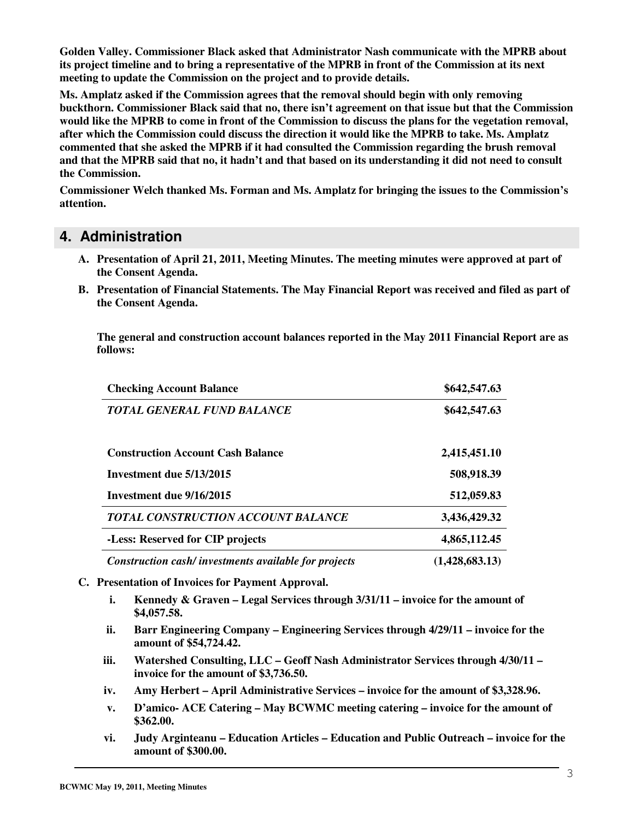**Golden Valley. Commissioner Black asked that Administrator Nash communicate with the MPRB about its project timeline and to bring a representative of the MPRB in front of the Commission at its next meeting to update the Commission on the project and to provide details.** 

**Ms. Amplatz asked if the Commission agrees that the removal should begin with only removing buckthorn. Commissioner Black said that no, there isn't agreement on that issue but that the Commission would like the MPRB to come in front of the Commission to discuss the plans for the vegetation removal, after which the Commission could discuss the direction it would like the MPRB to take. Ms. Amplatz commented that she asked the MPRB if it had consulted the Commission regarding the brush removal and that the MPRB said that no, it hadn't and that based on its understanding it did not need to consult the Commission.** 

**Commissioner Welch thanked Ms. Forman and Ms. Amplatz for bringing the issues to the Commission's attention.** 

#### **4. Administration**

- **A. Presentation of April 21, 2011, Meeting Minutes. The meeting minutes were approved at part of the Consent Agenda.**
- **B. Presentation of Financial Statements. The May Financial Report was received and filed as part of the Consent Agenda.**

**The general and construction account balances reported in the May 2011 Financial Report are as follows:** 

| <b>Checking Account Balance</b>                      | \$642,547.63   |
|------------------------------------------------------|----------------|
| <b>TOTAL GENERAL FUND BALANCE</b>                    | \$642,547.63   |
| <b>Construction Account Cash Balance</b>             | 2,415,451.10   |
| Investment due 5/13/2015                             | 508,918.39     |
| Investment due 9/16/2015                             | 512,059.83     |
| TOTAL CONSTRUCTION ACCOUNT BALANCE                   | 3,436,429.32   |
| -Less: Reserved for CIP projects                     | 4,865,112.45   |
| Construction cash/investments available for projects | (1,428,683.13) |

- **C. Presentation of Invoices for Payment Approval.** 
	- **i. Kennedy & Graven Legal Services through 3/31/11 invoice for the amount of \$4,057.58.**
	- **ii. Barr Engineering Company Engineering Services through 4/29/11 invoice for the amount of \$54,724.42.**
	- **iii. Watershed Consulting, LLC Geoff Nash Administrator Services through 4/30/11 invoice for the amount of \$3,736.50.**
	- **iv. Amy Herbert April Administrative Services invoice for the amount of \$3,328.96.**
	- **v. D'amico- ACE Catering May BCWMC meeting catering invoice for the amount of \$362.00.**
	- **vi. Judy Arginteanu Education Articles Education and Public Outreach invoice for the amount of \$300.00.**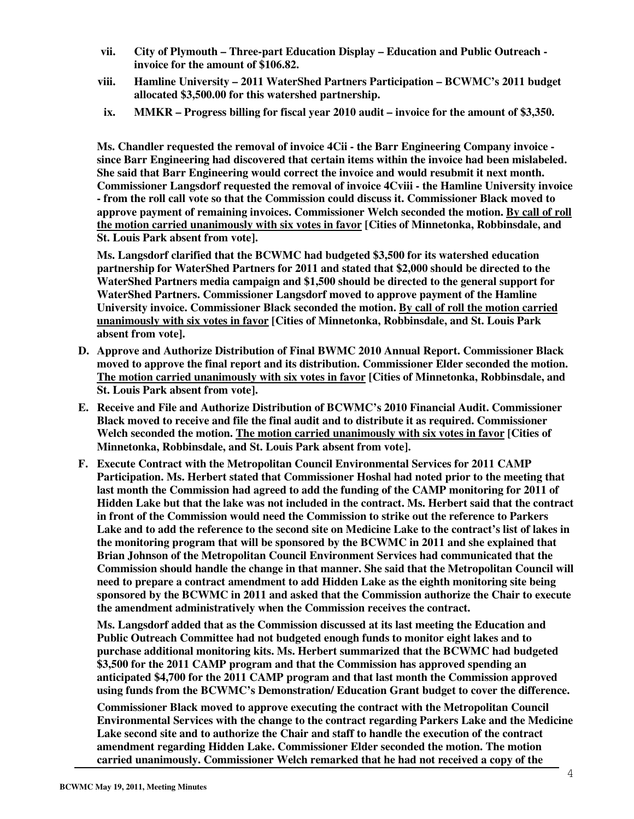- **vii. City of Plymouth Three-part Education Display Education and Public Outreach invoice for the amount of \$106.82.**
- **viii. Hamline University 2011 WaterShed Partners Participation BCWMC's 2011 budget allocated \$3,500.00 for this watershed partnership.**
- **ix. MMKR Progress billing for fiscal year 2010 audit invoice for the amount of \$3,350.**

**Ms. Chandler requested the removal of invoice 4Cii - the Barr Engineering Company invoice since Barr Engineering had discovered that certain items within the invoice had been mislabeled. She said that Barr Engineering would correct the invoice and would resubmit it next month. Commissioner Langsdorf requested the removal of invoice 4Cviii - the Hamline University invoice - from the roll call vote so that the Commission could discuss it. Commissioner Black moved to approve payment of remaining invoices. Commissioner Welch seconded the motion. By call of roll the motion carried unanimously with six votes in favor [Cities of Minnetonka, Robbinsdale, and St. Louis Park absent from vote].** 

**Ms. Langsdorf clarified that the BCWMC had budgeted \$3,500 for its watershed education partnership for WaterShed Partners for 2011 and stated that \$2,000 should be directed to the WaterShed Partners media campaign and \$1,500 should be directed to the general support for WaterShed Partners. Commissioner Langsdorf moved to approve payment of the Hamline University invoice. Commissioner Black seconded the motion. By call of roll the motion carried unanimously with six votes in favor [Cities of Minnetonka, Robbinsdale, and St. Louis Park absent from vote].** 

- **D. Approve and Authorize Distribution of Final BWMC 2010 Annual Report. Commissioner Black moved to approve the final report and its distribution. Commissioner Elder seconded the motion. The motion carried unanimously with six votes in favor [Cities of Minnetonka, Robbinsdale, and St. Louis Park absent from vote].**
- **E. Receive and File and Authorize Distribution of BCWMC's 2010 Financial Audit. Commissioner Black moved to receive and file the final audit and to distribute it as required. Commissioner Welch seconded the motion. The motion carried unanimously with six votes in favor [Cities of Minnetonka, Robbinsdale, and St. Louis Park absent from vote].**
- **F. Execute Contract with the Metropolitan Council Environmental Services for 2011 CAMP Participation. Ms. Herbert stated that Commissioner Hoshal had noted prior to the meeting that last month the Commission had agreed to add the funding of the CAMP monitoring for 2011 of Hidden Lake but that the lake was not included in the contract. Ms. Herbert said that the contract in front of the Commission would need the Commission to strike out the reference to Parkers Lake and to add the reference to the second site on Medicine Lake to the contract's list of lakes in the monitoring program that will be sponsored by the BCWMC in 2011 and she explained that Brian Johnson of the Metropolitan Council Environment Services had communicated that the Commission should handle the change in that manner. She said that the Metropolitan Council will need to prepare a contract amendment to add Hidden Lake as the eighth monitoring site being sponsored by the BCWMC in 2011 and asked that the Commission authorize the Chair to execute the amendment administratively when the Commission receives the contract.**

**Ms. Langsdorf added that as the Commission discussed at its last meeting the Education and Public Outreach Committee had not budgeted enough funds to monitor eight lakes and to purchase additional monitoring kits. Ms. Herbert summarized that the BCWMC had budgeted \$3,500 for the 2011 CAMP program and that the Commission has approved spending an anticipated \$4,700 for the 2011 CAMP program and that last month the Commission approved using funds from the BCWMC's Demonstration/ Education Grant budget to cover the difference.** 

**Commissioner Black moved to approve executing the contract with the Metropolitan Council Environmental Services with the change to the contract regarding Parkers Lake and the Medicine Lake second site and to authorize the Chair and staff to handle the execution of the contract amendment regarding Hidden Lake. Commissioner Elder seconded the motion. The motion carried unanimously. Commissioner Welch remarked that he had not received a copy of the**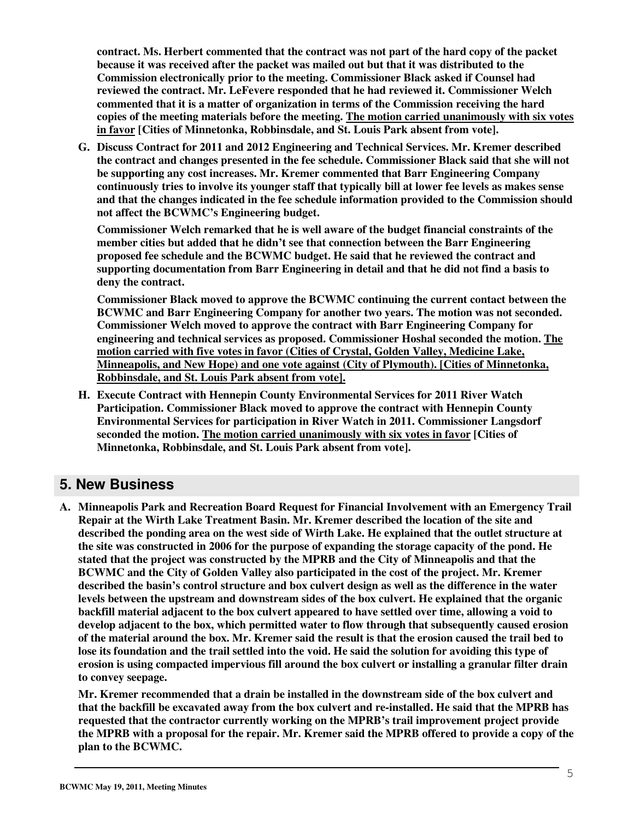**contract. Ms. Herbert commented that the contract was not part of the hard copy of the packet because it was received after the packet was mailed out but that it was distributed to the Commission electronically prior to the meeting. Commissioner Black asked if Counsel had reviewed the contract. Mr. LeFevere responded that he had reviewed it. Commissioner Welch commented that it is a matter of organization in terms of the Commission receiving the hard copies of the meeting materials before the meeting. The motion carried unanimously with six votes in favor [Cities of Minnetonka, Robbinsdale, and St. Louis Park absent from vote].** 

**G. Discuss Contract for 2011 and 2012 Engineering and Technical Services. Mr. Kremer described the contract and changes presented in the fee schedule. Commissioner Black said that she will not be supporting any cost increases. Mr. Kremer commented that Barr Engineering Company continuously tries to involve its younger staff that typically bill at lower fee levels as makes sense and that the changes indicated in the fee schedule information provided to the Commission should not affect the BCWMC's Engineering budget.** 

**Commissioner Welch remarked that he is well aware of the budget financial constraints of the member cities but added that he didn't see that connection between the Barr Engineering proposed fee schedule and the BCWMC budget. He said that he reviewed the contract and supporting documentation from Barr Engineering in detail and that he did not find a basis to deny the contract.** 

**Commissioner Black moved to approve the BCWMC continuing the current contact between the BCWMC and Barr Engineering Company for another two years. The motion was not seconded. Commissioner Welch moved to approve the contract with Barr Engineering Company for engineering and technical services as proposed. Commissioner Hoshal seconded the motion. The motion carried with five votes in favor (Cities of Crystal, Golden Valley, Medicine Lake, Minneapolis, and New Hope) and one vote against (City of Plymouth). [Cities of Minnetonka, Robbinsdale, and St. Louis Park absent from vote].**

**H. Execute Contract with Hennepin County Environmental Services for 2011 River Watch Participation. Commissioner Black moved to approve the contract with Hennepin County Environmental Services for participation in River Watch in 2011. Commissioner Langsdorf seconded the motion. The motion carried unanimously with six votes in favor [Cities of Minnetonka, Robbinsdale, and St. Louis Park absent from vote].** 

### **5. New Business**

**A. Minneapolis Park and Recreation Board Request for Financial Involvement with an Emergency Trail Repair at the Wirth Lake Treatment Basin. Mr. Kremer described the location of the site and described the ponding area on the west side of Wirth Lake. He explained that the outlet structure at the site was constructed in 2006 for the purpose of expanding the storage capacity of the pond. He stated that the project was constructed by the MPRB and the City of Minneapolis and that the BCWMC and the City of Golden Valley also participated in the cost of the project. Mr. Kremer described the basin's control structure and box culvert design as well as the difference in the water levels between the upstream and downstream sides of the box culvert. He explained that the organic backfill material adjacent to the box culvert appeared to have settled over time, allowing a void to develop adjacent to the box, which permitted water to flow through that subsequently caused erosion of the material around the box. Mr. Kremer said the result is that the erosion caused the trail bed to lose its foundation and the trail settled into the void. He said the solution for avoiding this type of erosion is using compacted impervious fill around the box culvert or installing a granular filter drain to convey seepage.** 

**Mr. Kremer recommended that a drain be installed in the downstream side of the box culvert and that the backfill be excavated away from the box culvert and re-installed. He said that the MPRB has requested that the contractor currently working on the MPRB's trail improvement project provide the MPRB with a proposal for the repair. Mr. Kremer said the MPRB offered to provide a copy of the plan to the BCWMC.**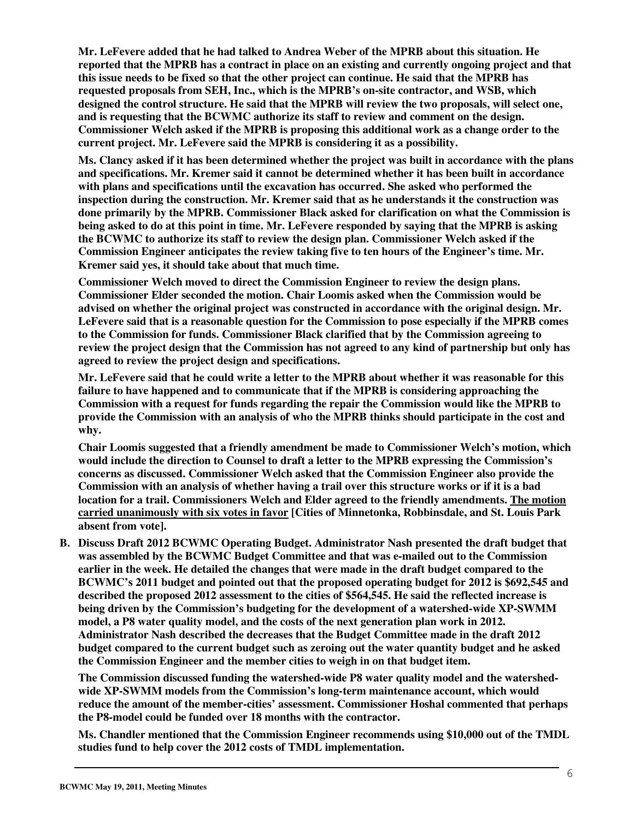**Mr. LeFevere added that he had talked to Andrea Weber of the MPRB about this situation. He reported that the MPRB has a contract in place on an existing and currently ongoing project and that this issue needs to be fixed so that the other project can continue. He said that the MPRB has requested proposals from SEH, Inc., which is the MPRB's on-site contractor, and WSB, which designed the control structure. He said that the MPRB will review the two proposals, will select one, and is requesting that the BCWMC authorize its staff to review and comment on the design. Commissioner Welch asked if the MPRB is proposing this additional work as a change order to the current project. Mr. LeFevere said the MPRB is considering it as a possibility.** 

**Ms. Clancy asked if it has been determined whether the project was built in accordance with the plans and specifications. Mr. Kremer said it cannot be determined whether it has been built in accordance with plans and specifications until the excavation has occurred. She asked who performed the inspection during the construction. Mr. Kremer said that as he understands it the construction was done primarily by the MPRB. Commissioner Black asked for clarification on what the Commission is being asked to do at this point in time. Mr. LeFevere responded by saying that the MPRB is asking the BCWMC to authorize its staff to review the design plan. Commissioner Welch asked if the Commission Engineer anticipates the review taking five to ten hours of the Engineer's time. Mr. Kremer said yes, it should take about that much time.** 

**Commissioner Welch moved to direct the Commission Engineer to review the design plans. Commissioner Elder seconded the motion. Chair Loomis asked when the Commission would be advised on whether the original project was constructed in accordance with the original design. Mr. LeFevere said that is a reasonable question for the Commission to pose especially if the MPRB comes to the Commission for funds. Commissioner Black clarified that by the Commission agreeing to review the project design that the Commission has not agreed to any kind of partnership but only has agreed to review the project design and specifications.** 

**Mr. LeFevere said that he could write a letter to the MPRB about whether it was reasonable for this failure to have happened and to communicate that if the MPRB is considering approaching the Commission with a request for funds regarding the repair the Commission would like the MPRB to provide the Commission with an analysis of who the MPRB thinks should participate in the cost and why.** 

**Chair Loomis suggested that a friendly amendment be made to Commissioner Welch's motion, which would include the direction to Counsel to draft a letter to the MPRB expressing the Commission's concerns as discussed. Commissioner Welch asked that the Commission Engineer also provide the Commission with an analysis of whether having a trail over this structure works or if it is a bad location for a trail. Commissioners Welch and Elder agreed to the friendly amendments. The motion carried unanimously with six votes in favor [Cities of Minnetonka, Robbinsdale, and St. Louis Park absent from vote].** 

**B. Discuss Draft 2012 BCWMC Operating Budget. Administrator Nash presented the draft budget that was assembled by the BCWMC Budget Committee and that was e-mailed out to the Commission earlier in the week. He detailed the changes that were made in the draft budget compared to the BCWMC's 2011 budget and pointed out that the proposed operating budget for 2012 is \$692,545 and described the proposed 2012 assessment to the cities of \$564,545. He said the reflected increase is being driven by the Commission's budgeting for the development of a watershed-wide XP-SWMM model, a P8 water quality model, and the costs of the next generation plan work in 2012. Administrator Nash described the decreases that the Budget Committee made in the draft 2012 budget compared to the current budget such as zeroing out the water quantity budget and he asked the Commission Engineer and the member cities to weigh in on that budget item.** 

**The Commission discussed funding the watershed-wide P8 water quality model and the watershedwide XP-SWMM models from the Commission's long-term maintenance account, which would reduce the amount of the member-cities' assessment. Commissioner Hoshal commented that perhaps the P8-model could be funded over 18 months with the contractor.** 

**Ms. Chandler mentioned that the Commission Engineer recommends using \$10,000 out of the TMDL studies fund to help cover the 2012 costs of TMDL implementation.**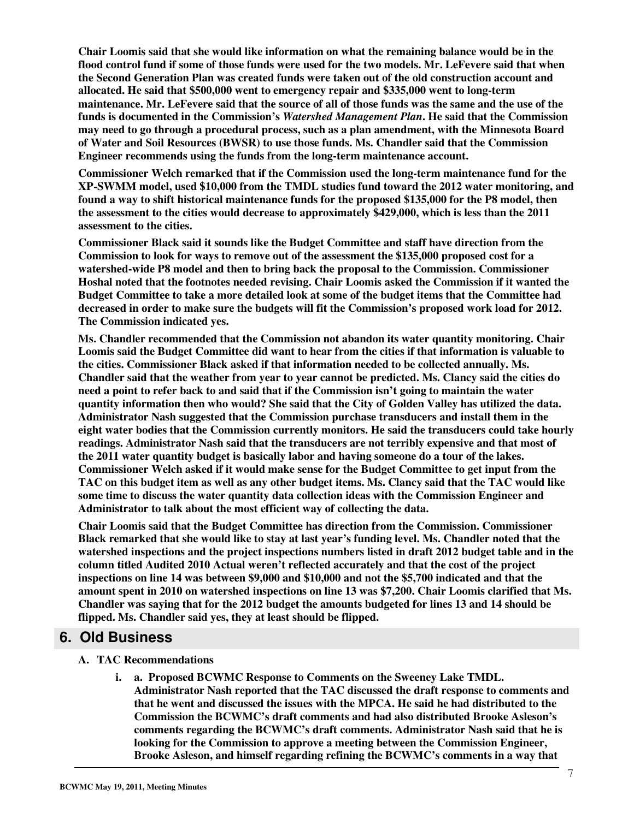**Chair Loomis said that she would like information on what the remaining balance would be in the flood control fund if some of those funds were used for the two models. Mr. LeFevere said that when the Second Generation Plan was created funds were taken out of the old construction account and allocated. He said that \$500,000 went to emergency repair and \$335,000 went to long-term maintenance. Mr. LeFevere said that the source of all of those funds was the same and the use of the funds is documented in the Commission's** *Watershed Management Plan***. He said that the Commission may need to go through a procedural process, such as a plan amendment, with the Minnesota Board of Water and Soil Resources (BWSR) to use those funds. Ms. Chandler said that the Commission Engineer recommends using the funds from the long-term maintenance account.** 

**Commissioner Welch remarked that if the Commission used the long-term maintenance fund for the XP-SWMM model, used \$10,000 from the TMDL studies fund toward the 2012 water monitoring, and found a way to shift historical maintenance funds for the proposed \$135,000 for the P8 model, then the assessment to the cities would decrease to approximately \$429,000, which is less than the 2011 assessment to the cities.** 

**Commissioner Black said it sounds like the Budget Committee and staff have direction from the Commission to look for ways to remove out of the assessment the \$135,000 proposed cost for a watershed-wide P8 model and then to bring back the proposal to the Commission. Commissioner Hoshal noted that the footnotes needed revising. Chair Loomis asked the Commission if it wanted the Budget Committee to take a more detailed look at some of the budget items that the Committee had decreased in order to make sure the budgets will fit the Commission's proposed work load for 2012. The Commission indicated yes.** 

**Ms. Chandler recommended that the Commission not abandon its water quantity monitoring. Chair Loomis said the Budget Committee did want to hear from the cities if that information is valuable to the cities. Commissioner Black asked if that information needed to be collected annually. Ms. Chandler said that the weather from year to year cannot be predicted. Ms. Clancy said the cities do need a point to refer back to and said that if the Commission isn't going to maintain the water quantity information then who would? She said that the City of Golden Valley has utilized the data. Administrator Nash suggested that the Commission purchase transducers and install them in the eight water bodies that the Commission currently monitors. He said the transducers could take hourly readings. Administrator Nash said that the transducers are not terribly expensive and that most of the 2011 water quantity budget is basically labor and having someone do a tour of the lakes. Commissioner Welch asked if it would make sense for the Budget Committee to get input from the TAC on this budget item as well as any other budget items. Ms. Clancy said that the TAC would like some time to discuss the water quantity data collection ideas with the Commission Engineer and Administrator to talk about the most efficient way of collecting the data.** 

**Chair Loomis said that the Budget Committee has direction from the Commission. Commissioner Black remarked that she would like to stay at last year's funding level. Ms. Chandler noted that the watershed inspections and the project inspections numbers listed in draft 2012 budget table and in the column titled Audited 2010 Actual weren't reflected accurately and that the cost of the project inspections on line 14 was between \$9,000 and \$10,000 and not the \$5,700 indicated and that the amount spent in 2010 on watershed inspections on line 13 was \$7,200. Chair Loomis clarified that Ms. Chandler was saying that for the 2012 budget the amounts budgeted for lines 13 and 14 should be flipped. Ms. Chandler said yes, they at least should be flipped.** 

### **6. Old Business**

#### **A. TAC Recommendations**

**i. a. Proposed BCWMC Response to Comments on the Sweeney Lake TMDL. Administrator Nash reported that the TAC discussed the draft response to comments and that he went and discussed the issues with the MPCA. He said he had distributed to the Commission the BCWMC's draft comments and had also distributed Brooke Asleson's comments regarding the BCWMC's draft comments. Administrator Nash said that he is looking for the Commission to approve a meeting between the Commission Engineer, Brooke Asleson, and himself regarding refining the BCWMC's comments in a way that**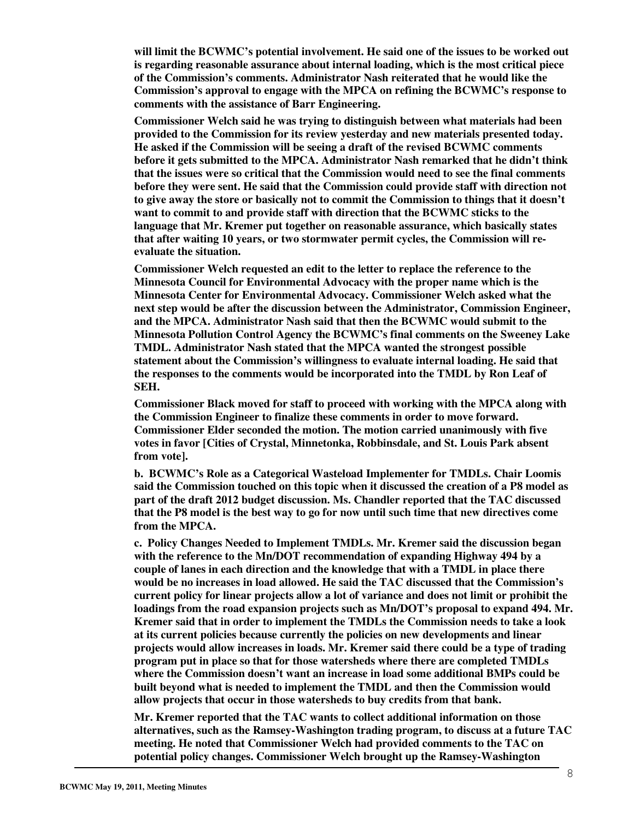**will limit the BCWMC's potential involvement. He said one of the issues to be worked out is regarding reasonable assurance about internal loading, which is the most critical piece of the Commission's comments. Administrator Nash reiterated that he would like the Commission's approval to engage with the MPCA on refining the BCWMC's response to comments with the assistance of Barr Engineering.** 

**Commissioner Welch said he was trying to distinguish between what materials had been provided to the Commission for its review yesterday and new materials presented today. He asked if the Commission will be seeing a draft of the revised BCWMC comments before it gets submitted to the MPCA. Administrator Nash remarked that he didn't think that the issues were so critical that the Commission would need to see the final comments before they were sent. He said that the Commission could provide staff with direction not to give away the store or basically not to commit the Commission to things that it doesn't want to commit to and provide staff with direction that the BCWMC sticks to the language that Mr. Kremer put together on reasonable assurance, which basically states that after waiting 10 years, or two stormwater permit cycles, the Commission will reevaluate the situation.** 

**Commissioner Welch requested an edit to the letter to replace the reference to the Minnesota Council for Environmental Advocacy with the proper name which is the Minnesota Center for Environmental Advocacy. Commissioner Welch asked what the next step would be after the discussion between the Administrator, Commission Engineer, and the MPCA. Administrator Nash said that then the BCWMC would submit to the Minnesota Pollution Control Agency the BCWMC's final comments on the Sweeney Lake TMDL. Administrator Nash stated that the MPCA wanted the strongest possible statement about the Commission's willingness to evaluate internal loading. He said that the responses to the comments would be incorporated into the TMDL by Ron Leaf of SEH.** 

**Commissioner Black moved for staff to proceed with working with the MPCA along with the Commission Engineer to finalize these comments in order to move forward. Commissioner Elder seconded the motion. The motion carried unanimously with five votes in favor [Cities of Crystal, Minnetonka, Robbinsdale, and St. Louis Park absent from vote].** 

**b. BCWMC's Role as a Categorical Wasteload Implementer for TMDLs. Chair Loomis said the Commission touched on this topic when it discussed the creation of a P8 model as part of the draft 2012 budget discussion. Ms. Chandler reported that the TAC discussed that the P8 model is the best way to go for now until such time that new directives come from the MPCA.** 

**c. Policy Changes Needed to Implement TMDLs. Mr. Kremer said the discussion began with the reference to the Mn/DOT recommendation of expanding Highway 494 by a couple of lanes in each direction and the knowledge that with a TMDL in place there would be no increases in load allowed. He said the TAC discussed that the Commission's current policy for linear projects allow a lot of variance and does not limit or prohibit the loadings from the road expansion projects such as Mn/DOT's proposal to expand 494. Mr. Kremer said that in order to implement the TMDLs the Commission needs to take a look at its current policies because currently the policies on new developments and linear projects would allow increases in loads. Mr. Kremer said there could be a type of trading program put in place so that for those watersheds where there are completed TMDLs where the Commission doesn't want an increase in load some additional BMPs could be built beyond what is needed to implement the TMDL and then the Commission would allow projects that occur in those watersheds to buy credits from that bank.** 

**Mr. Kremer reported that the TAC wants to collect additional information on those alternatives, such as the Ramsey-Washington trading program, to discuss at a future TAC meeting. He noted that Commissioner Welch had provided comments to the TAC on potential policy changes. Commissioner Welch brought up the Ramsey-Washington**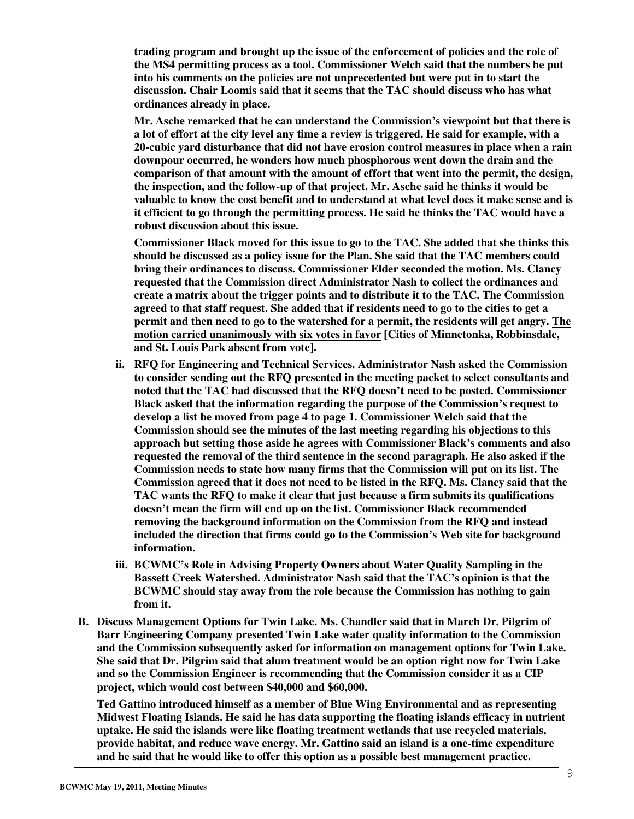**trading program and brought up the issue of the enforcement of policies and the role of the MS4 permitting process as a tool. Commissioner Welch said that the numbers he put into his comments on the policies are not unprecedented but were put in to start the discussion. Chair Loomis said that it seems that the TAC should discuss who has what ordinances already in place.** 

**Mr. Asche remarked that he can understand the Commission's viewpoint but that there is a lot of effort at the city level any time a review is triggered. He said for example, with a 20-cubic yard disturbance that did not have erosion control measures in place when a rain downpour occurred, he wonders how much phosphorous went down the drain and the comparison of that amount with the amount of effort that went into the permit, the design, the inspection, and the follow-up of that project. Mr. Asche said he thinks it would be valuable to know the cost benefit and to understand at what level does it make sense and is it efficient to go through the permitting process. He said he thinks the TAC would have a robust discussion about this issue.** 

**Commissioner Black moved for this issue to go to the TAC. She added that she thinks this should be discussed as a policy issue for the Plan. She said that the TAC members could bring their ordinances to discuss. Commissioner Elder seconded the motion. Ms. Clancy requested that the Commission direct Administrator Nash to collect the ordinances and create a matrix about the trigger points and to distribute it to the TAC. The Commission agreed to that staff request. She added that if residents need to go to the cities to get a permit and then need to go to the watershed for a permit, the residents will get angry. The motion carried unanimously with six votes in favor [Cities of Minnetonka, Robbinsdale, and St. Louis Park absent from vote].** 

- **ii. RFQ for Engineering and Technical Services. Administrator Nash asked the Commission to consider sending out the RFQ presented in the meeting packet to select consultants and noted that the TAC had discussed that the RFQ doesn't need to be posted. Commissioner Black asked that the information regarding the purpose of the Commission's request to develop a list be moved from page 4 to page 1. Commissioner Welch said that the Commission should see the minutes of the last meeting regarding his objections to this approach but setting those aside he agrees with Commissioner Black's comments and also requested the removal of the third sentence in the second paragraph. He also asked if the Commission needs to state how many firms that the Commission will put on its list. The Commission agreed that it does not need to be listed in the RFQ. Ms. Clancy said that the TAC wants the RFQ to make it clear that just because a firm submits its qualifications doesn't mean the firm will end up on the list. Commissioner Black recommended removing the background information on the Commission from the RFQ and instead included the direction that firms could go to the Commission's Web site for background information.**
- **iii. BCWMC's Role in Advising Property Owners about Water Quality Sampling in the Bassett Creek Watershed. Administrator Nash said that the TAC's opinion is that the BCWMC should stay away from the role because the Commission has nothing to gain from it.**
- **B. Discuss Management Options for Twin Lake. Ms. Chandler said that in March Dr. Pilgrim of Barr Engineering Company presented Twin Lake water quality information to the Commission and the Commission subsequently asked for information on management options for Twin Lake. She said that Dr. Pilgrim said that alum treatment would be an option right now for Twin Lake and so the Commission Engineer is recommending that the Commission consider it as a CIP project, which would cost between \$40,000 and \$60,000.**

**Ted Gattino introduced himself as a member of Blue Wing Environmental and as representing Midwest Floating Islands. He said he has data supporting the floating islands efficacy in nutrient uptake. He said the islands were like floating treatment wetlands that use recycled materials, provide habitat, and reduce wave energy. Mr. Gattino said an island is a one-time expenditure and he said that he would like to offer this option as a possible best management practice.**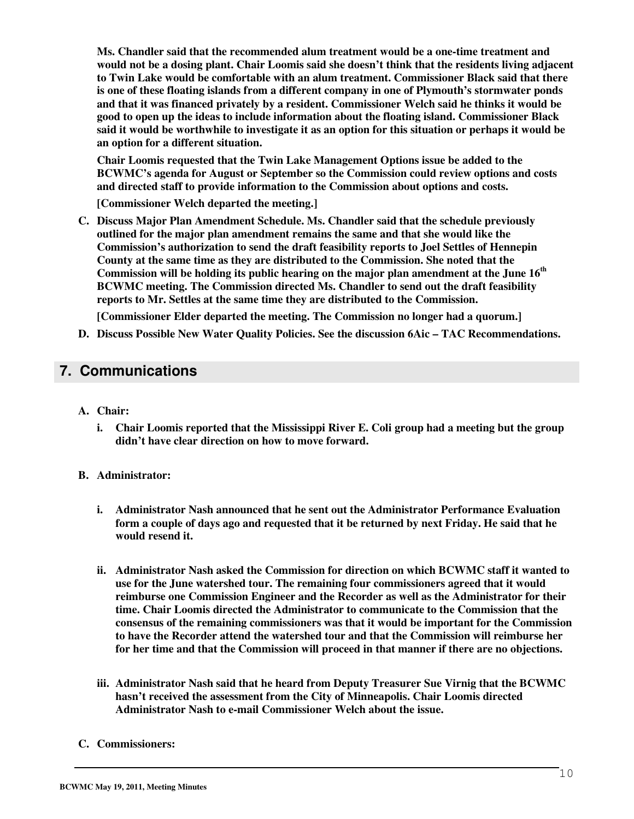**Ms. Chandler said that the recommended alum treatment would be a one-time treatment and would not be a dosing plant. Chair Loomis said she doesn't think that the residents living adjacent to Twin Lake would be comfortable with an alum treatment. Commissioner Black said that there is one of these floating islands from a different company in one of Plymouth's stormwater ponds and that it was financed privately by a resident. Commissioner Welch said he thinks it would be good to open up the ideas to include information about the floating island. Commissioner Black said it would be worthwhile to investigate it as an option for this situation or perhaps it would be an option for a different situation.** 

**Chair Loomis requested that the Twin Lake Management Options issue be added to the BCWMC's agenda for August or September so the Commission could review options and costs and directed staff to provide information to the Commission about options and costs.** 

**[Commissioner Welch departed the meeting.]** 

**C. Discuss Major Plan Amendment Schedule. Ms. Chandler said that the schedule previously outlined for the major plan amendment remains the same and that she would like the Commission's authorization to send the draft feasibility reports to Joel Settles of Hennepin County at the same time as they are distributed to the Commission. She noted that the Commission will be holding its public hearing on the major plan amendment at the June 16th BCWMC meeting. The Commission directed Ms. Chandler to send out the draft feasibility reports to Mr. Settles at the same time they are distributed to the Commission.** 

**[Commissioner Elder departed the meeting. The Commission no longer had a quorum.]** 

**D. Discuss Possible New Water Quality Policies. See the discussion 6Aic – TAC Recommendations.** 

### **7. Communications**

- **A. Chair:** 
	- **i. Chair Loomis reported that the Mississippi River E. Coli group had a meeting but the group didn't have clear direction on how to move forward.**
- **B. Administrator:** 
	- **i. Administrator Nash announced that he sent out the Administrator Performance Evaluation form a couple of days ago and requested that it be returned by next Friday. He said that he would resend it.**
	- **ii. Administrator Nash asked the Commission for direction on which BCWMC staff it wanted to use for the June watershed tour. The remaining four commissioners agreed that it would reimburse one Commission Engineer and the Recorder as well as the Administrator for their time. Chair Loomis directed the Administrator to communicate to the Commission that the consensus of the remaining commissioners was that it would be important for the Commission to have the Recorder attend the watershed tour and that the Commission will reimburse her for her time and that the Commission will proceed in that manner if there are no objections.**
	- **iii. Administrator Nash said that he heard from Deputy Treasurer Sue Virnig that the BCWMC hasn't received the assessment from the City of Minneapolis. Chair Loomis directed Administrator Nash to e-mail Commissioner Welch about the issue.**
- **C. Commissioners:**